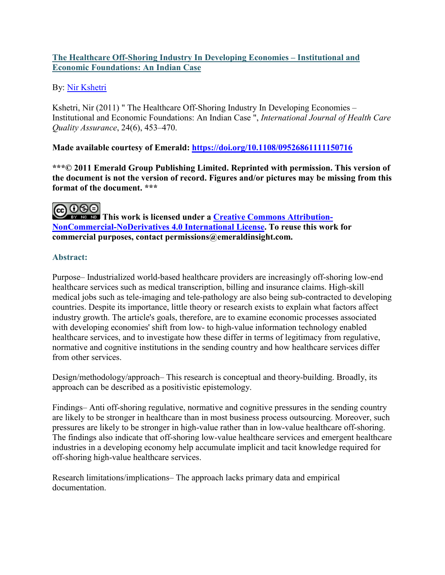## **The Healthcare Off-Shoring Industry In Developing Economies – Institutional and Economic Foundations: An Indian Case**

# By: [Nir Kshetri](https://libres.uncg.edu/ir/uncg/clist.aspx?id=760)

Kshetri, Nir (2011) " The Healthcare Off-Shoring Industry In Developing Economies – Institutional and Economic Foundations: An Indian Case ", *International Journal of Health Care Quality Assurance*, 24(6), 453–470.

**Made available courtesy of Emerald:<https://doi.org/10.1108/09526861111150716>**

**\*\*\*© 2011 Emerald Group Publishing Limited. Reprinted with permission. This version of the document is not the version of record. Figures and/or pictures may be missing from this format of the document. \*\*\***

**COOSE**<br>**This work is licensed under a Creative Commons Attribution-**<br> **This work is licensed under a Creational License.** To reuse this work **[NonCommercial-NoDerivatives 4.0 International License.](http://creativecommons.org/licenses/by-nc-nd/4.0/) To reuse this work for commercial purposes, contact permissions@emeraldinsight.com.** 

# **Abstract:**

Purpose– Industrialized world‐based healthcare providers are increasingly off‐shoring low‐end healthcare services such as medical transcription, billing and insurance claims. High-skill medical jobs such as tele‐imaging and tele‐pathology are also being sub‐contracted to developing countries. Despite its importance, little theory or research exists to explain what factors affect industry growth. The article's goals, therefore, are to examine economic processes associated with developing economies' shift from low- to high-value information technology enabled healthcare services, and to investigate how these differ in terms of legitimacy from regulative, normative and cognitive institutions in the sending country and how healthcare services differ from other services.

Design/methodology/approach– This research is conceptual and theory-building. Broadly, its approach can be described as a positivistic epistemology.

Findings– Anti off-shoring regulative, normative and cognitive pressures in the sending country are likely to be stronger in healthcare than in most business process outsourcing. Moreover, such pressures are likely to be stronger in high‐value rather than in low‐value healthcare off‐shoring. The findings also indicate that off-shoring low-value healthcare services and emergent healthcare industries in a developing economy help accumulate implicit and tacit knowledge required for off‐shoring high‐value healthcare services.

Research limitations/implications– The approach lacks primary data and empirical documentation.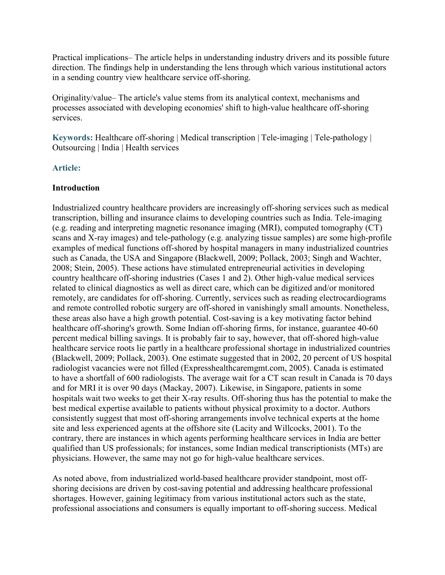Practical implications– The article helps in understanding industry drivers and its possible future direction. The findings help in understanding the lens through which various institutional actors in a sending country view healthcare service off-shoring.

Originality/value– The article's value stems from its analytical context, mechanisms and processes associated with developing economies' shift to high‐value healthcare off‐shoring services.

Keywords: Healthcare off-shoring | Medical transcription | Tele-imaging | Tele-pathology | Outsourcing | India | Health services

### **Article:**

### **Introduction**

Industrialized country healthcare providers are increasingly off‐shoring services such as medical transcription, billing and insurance claims to developing countries such as India. Tele‐imaging (e.g. reading and interpreting magnetic resonance imaging (MRI), computed tomography (CT) scans and X-ray images) and tele-pathology (e.g. analyzing tissue samples) are some high-profile examples of medical functions off‐shored by hospital managers in many industrialized countries such as Canada, the USA and Singapore (Blackwell, 2009; Pollack, 2003; Singh and Wachter, 2008; Stein, 2005). These actions have stimulated entrepreneurial activities in developing country healthcare off‐shoring industries (Cases 1 and 2). Other high‐value medical services related to clinical diagnostics as well as direct care, which can be digitized and/or monitored remotely, are candidates for off‐shoring. Currently, services such as reading electrocardiograms and remote controlled robotic surgery are off-shored in vanishingly small amounts. Nonetheless, these areas also have a high growth potential. Cost‐saving is a key motivating factor behind healthcare off-shoring's growth. Some Indian off-shoring firms, for instance, guarantee 40-60 percent medical billing savings. It is probably fair to say, however, that off-shored high-value healthcare service roots lie partly in a healthcare professional shortage in industrialized countries (Blackwell, 2009; Pollack, 2003). One estimate suggested that in 2002, 20 percent of US hospital radiologist vacancies were not filled (Expresshealthcaremgmt.com, 2005). Canada is estimated to have a shortfall of 600 radiologists. The average wait for a CT scan result in Canada is 70 days and for MRI it is over 90 days (Mackay, 2007). Likewise, in Singapore, patients in some hospitals wait two weeks to get their X-ray results. Off-shoring thus has the potential to make the best medical expertise available to patients without physical proximity to a doctor. Authors consistently suggest that most off‐shoring arrangements involve technical experts at the home site and less experienced agents at the offshore site (Lacity and Willcocks, 2001). To the contrary, there are instances in which agents performing healthcare services in India are better qualified than US professionals; for instances, some Indian medical transcriptionists (MTs) are physicians. However, the same may not go for high‐value healthcare services.

As noted above, from industrialized world‐based healthcare provider standpoint, most off‐ shoring decisions are driven by cost‐saving potential and addressing healthcare professional shortages. However, gaining legitimacy from various institutional actors such as the state, professional associations and consumers is equally important to off‐shoring success. Medical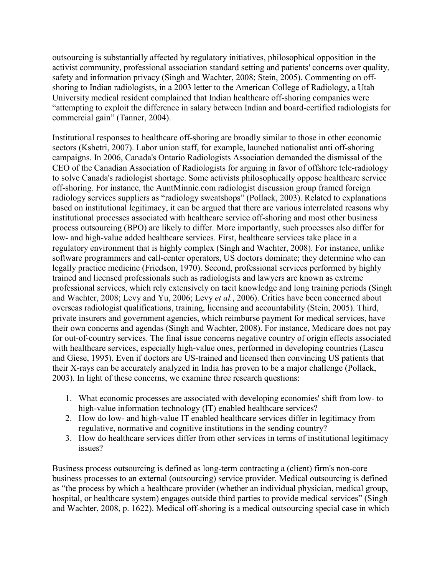outsourcing is substantially affected by regulatory initiatives, philosophical opposition in the activist community, professional association standard setting and patients' concerns over quality, safety and information privacy (Singh and Wachter, 2008; Stein, 2005). Commenting on offshoring to Indian radiologists, in a 2003 letter to the American College of Radiology, a Utah University medical resident complained that Indian healthcare off‐shoring companies were "attempting to exploit the difference in salary between Indian and board‐certified radiologists for commercial gain" (Tanner, 2004).

Institutional responses to healthcare off‐shoring are broadly similar to those in other economic sectors (Kshetri, 2007). Labor union staff, for example, launched nationalist anti off-shoring campaigns. In 2006, Canada's Ontario Radiologists Association demanded the dismissal of the CEO of the Canadian Association of Radiologists for arguing in favor of offshore tele‐radiology to solve Canada's radiologist shortage. Some activists philosophically oppose healthcare service off‐shoring. For instance, the AuntMinnie.com radiologist discussion group framed foreign radiology services suppliers as "radiology sweatshops" (Pollack, 2003). Related to explanations based on institutional legitimacy, it can be argued that there are various interrelated reasons why institutional processes associated with healthcare service off-shoring and most other business process outsourcing (BPO) are likely to differ. More importantly, such processes also differ for low- and high-value added healthcare services. First, healthcare services take place in a regulatory environment that is highly complex (Singh and Wachter, 2008). For instance, unlike software programmers and call-center operators, US doctors dominate; they determine who can legally practice medicine (Friedson, 1970). Second, professional services performed by highly trained and licensed professionals such as radiologists and lawyers are known as extreme professional services, which rely extensively on tacit knowledge and long training periods (Singh and Wachter, 2008; Levy and Yu, 2006; Levy *et al.*, 2006). Critics have been concerned about overseas radiologist qualifications, training, licensing and accountability (Stein, 2005). Third, private insurers and government agencies, which reimburse payment for medical services, have their own concerns and agendas (Singh and Wachter, 2008). For instance, Medicare does not pay for out-of-country services. The final issue concerns negative country of origin effects associated with healthcare services, especially high-value ones, performed in developing countries (Lascu and Giese, 1995). Even if doctors are US‐trained and licensed then convincing US patients that their X‐rays can be accurately analyzed in India has proven to be a major challenge (Pollack, 2003). In light of these concerns, we examine three research questions:

- 1. What economic processes are associated with developing economies' shift from low‐ to high-value information technology (IT) enabled healthcare services?
- 2. How do low- and high-value IT enabled healthcare services differ in legitimacy from regulative, normative and cognitive institutions in the sending country?
- 3. How do healthcare services differ from other services in terms of institutional legitimacy issues?

Business process outsourcing is defined as long‐term contracting a (client) firm's non‐core business processes to an external (outsourcing) service provider. Medical outsourcing is defined as "the process by which a healthcare provider (whether an individual physician, medical group, hospital, or healthcare system) engages outside third parties to provide medical services" (Singh and Wachter, 2008, p. 1622). Medical off‐shoring is a medical outsourcing special case in which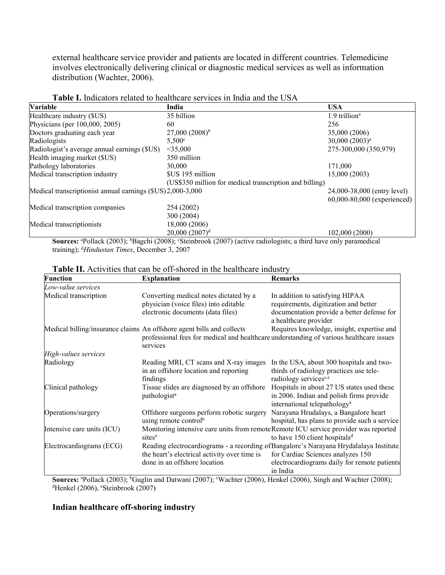external healthcare service provider and patients are located in different countries. Telemedicine involves electronically delivering clinical or diagnostic medical services as well as information distribution (Wachter, 2006).

| <b>Variable</b>                                             | India                                                   | <b>USA</b>                  |
|-------------------------------------------------------------|---------------------------------------------------------|-----------------------------|
| Healthcare industry (\$US)                                  | 35 billion                                              | $1.9$ trillion <sup>a</sup> |
| Physicians (per 100,000, 2005)                              | 60                                                      | 256                         |
| Doctors graduating each year                                | $27,000(2008)^{b}$                                      | 35,000 (2006)               |
| Radiologists                                                | $5,500^{\circ}$                                         | $30,000(2003)^{a}$          |
| Radiologist's average annual earnings (\$US)                | $<$ 35.000                                              | 275-300,000 (350,979)       |
| Health imaging market (\$US)                                | 350 million                                             |                             |
| Pathology laboratories                                      | 30,000                                                  | 171,000                     |
| Medical transcription industry                              | \$US 195 million                                        | 15,000 (2003)               |
|                                                             | (US\$350 million for medical transcription and billing) |                             |
| Medical transcriptionist annual earnings (\$US) 2,000-3,000 |                                                         | 24,000-38,000 (entry level) |
|                                                             |                                                         | 60,000-80,000 (experienced) |
| Medical transcription companies                             | 254 (2002)                                              |                             |
|                                                             | 300 (2004)                                              |                             |
| Medical transcriptionists                                   | 18,000 (2006)                                           |                             |
|                                                             | 20,000(2007) <sup>d</sup>                               | 102,000 (2000)              |

**Table I.** Indicators related to healthcare services in India and the USA

Sources: <sup>a</sup>Pollack (2003); <sup>b</sup>Bagchi (2008); 'Steinbrook (2007) (active radiologists; a third have only paramedical training); d *Hindustan Times*, December 3, 2007

| <b>Function</b>            | <b>Explanation</b>                                                                                                   | <b>Remarks</b>                                                                                                                                                                          |
|----------------------------|----------------------------------------------------------------------------------------------------------------------|-----------------------------------------------------------------------------------------------------------------------------------------------------------------------------------------|
| Low-value services         |                                                                                                                      |                                                                                                                                                                                         |
| Medical transcription      | Converting medical notes dictated by a<br>physician (voice files) into editable<br>electronic documents (data files) | In addition to satisfying HIPAA<br>requirements, digitization and better<br>documentation provide a better defense for<br>a healthcare provider                                         |
|                            | Medical billing/insurance claims An offshore agent bills and collects<br>services                                    | Requires knowledge, insight, expertise and<br>professional fees for medical and healthcare understanding of various healthcare issues                                                   |
| High-values services       |                                                                                                                      |                                                                                                                                                                                         |
| Radiology                  | Reading MRI, CT scans and X-ray images<br>in an offshore location and reporting<br>findings                          | In the USA, about 300 hospitals and two-<br>thirds of radiology practices use tele-<br>radiology services <sup>c,e</sup>                                                                |
| Clinical pathology         | Tissue slides are diagnosed by an offshore<br>pathologist <sup>a</sup>                                               | Hospitals in about 27 US states used these<br>in 2006. Indian and polish firms provide<br>international telepathology <sup>a</sup>                                                      |
| Operations/surgery         | Offshore surgeons perform robotic surgery<br>using remote control <sup>b</sup>                                       | Narayana Hrudalays, a Bangalore heart<br>hospital, has plans to provide such a service                                                                                                  |
| Intensive care units (ICU) | sites <sup>a</sup>                                                                                                   | Monitoring intensive care units from remote Remote ICU service provider was reported<br>to have 150 client hospitals <sup>d</sup>                                                       |
| Electrocardiograms (ECG)   | the heart's electrical activity over time is<br>done in an offshore location                                         | Reading electrocardiograms - a recording of Bangalore's Narayana Hrydalalaya Institute<br>for Cardiac Sciences analyzes 150<br>electrocardiograms daily for remote patients<br>in India |

Table II. Activities that can be off-shored in the healthcare industry

Sources: <sup>a</sup>Pollack (2003); <sup>b</sup>Guglin and Datwani (2007); <sup>c</sup>Wachter (2006), Henkel (2006), Singh and Wachter (2008); <sup>d</sup>Henkel (2006), <sup>e</sup>Steinbrook (2007)

#### **Indian healthcare off‐shoring industry**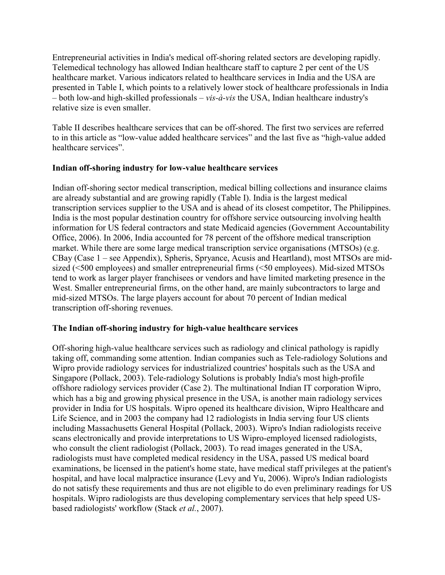Entrepreneurial activities in India's medical off‐shoring related sectors are developing rapidly. Telemedical technology has allowed Indian healthcare staff to capture 2 per cent of the US healthcare market. Various indicators related to healthcare services in India and the USA are presented in Table I, which points to a relatively lower stock of healthcare professionals in India – both low‐and high‐skilled professionals – *vis‐à‐vis* the USA, Indian healthcare industry's relative size is even smaller.

Table II describes healthcare services that can be off‐shored. The first two services are referred to in this article as "low-value added healthcare services" and the last five as "high-value added healthcare services".

## **Indian off‐shoring industry for low‐value healthcare services**

Indian off-shoring sector medical transcription, medical billing collections and insurance claims are already substantial and are growing rapidly (Table I). India is the largest medical transcription services supplier to the USA and is ahead of its closest competitor, The Philippines. India is the most popular destination country for offshore service outsourcing involving health information for US federal contractors and state Medicaid agencies (Government Accountability Office, 2006). In 2006, India accounted for 78 percent of the offshore medical transcription market. While there are some large medical transcription service organisations (MTSOs) (e.g. CBay (Case 1 – see Appendix), Spheris, Spryance, Acusis and Heartland), most MTSOs are mid‐ sized (<500 employees) and smaller entrepreneurial firms (<50 employees). Mid-sized MTSOs tend to work as larger player franchisees or vendors and have limited marketing presence in the West. Smaller entrepreneurial firms, on the other hand, are mainly subcontractors to large and mid‐sized MTSOs. The large players account for about 70 percent of Indian medical transcription off‐shoring revenues.

## **The Indian off‐shoring industry for high‐value healthcare services**

Off-shoring high-value healthcare services such as radiology and clinical pathology is rapidly taking off, commanding some attention. Indian companies such as Tele-radiology Solutions and Wipro provide radiology services for industrialized countries' hospitals such as the USA and Singapore (Pollack, 2003). Tele‐radiology Solutions is probably India's most high‐profile offshore radiology services provider (Case 2). The multinational Indian IT corporation Wipro, which has a big and growing physical presence in the USA, is another main radiology services provider in India for US hospitals. Wipro opened its healthcare division, Wipro Healthcare and Life Science, and in 2003 the company had 12 radiologists in India serving four US clients including Massachusetts General Hospital (Pollack, 2003). Wipro's Indian radiologists receive scans electronically and provide interpretations to US Wipro-employed licensed radiologists, who consult the client radiologist (Pollack, 2003). To read images generated in the USA, radiologists must have completed medical residency in the USA, passed US medical board examinations, be licensed in the patient's home state, have medical staff privileges at the patient's hospital, and have local malpractice insurance (Levy and Yu, 2006). Wipro's Indian radiologists do not satisfy these requirements and thus are not eligible to do even preliminary readings for US hospitals. Wipro radiologists are thus developing complementary services that help speed US‐ based radiologists' workflow (Stack *et al.*, 2007).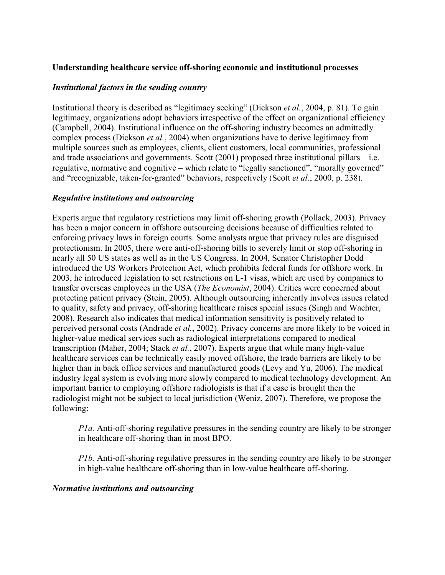### **Understanding healthcare service off‐shoring economic and institutional processes**

#### *Institutional factors in the sending country*

Institutional theory is described as "legitimacy seeking" (Dickson *et al.*, 2004, p. 81). To gain legitimacy, organizations adopt behaviors irrespective of the effect on organizational efficiency (Campbell, 2004). Institutional influence on the off‐shoring industry becomes an admittedly complex process (Dickson *et al.*, 2004) when organizations have to derive legitimacy from multiple sources such as employees, clients, client customers, local communities, professional and trade associations and governments. Scott  $(2001)$  proposed three institutional pillars – i.e. regulative, normative and cognitive – which relate to "legally sanctioned", "morally governed" and "recognizable, taken‐for‐granted" behaviors, respectively (Scott *et al.*, 2000, p. 238).

## *Regulative institutions and outsourcing*

Experts argue that regulatory restrictions may limit off‐shoring growth (Pollack, 2003). Privacy has been a major concern in offshore outsourcing decisions because of difficulties related to enforcing privacy laws in foreign courts. Some analysts argue that privacy rules are disguised protectionism. In 2005, there were anti-off-shoring bills to severely limit or stop off-shoring in nearly all 50 US states as well as in the US Congress. In 2004, Senator Christopher Dodd introduced the US Workers Protection Act, which prohibits federal funds for offshore work. In 2003, he introduced legislation to set restrictions on L‐1 visas, which are used by companies to transfer overseas employees in the USA (*The Economist*, 2004). Critics were concerned about protecting patient privacy (Stein, 2005). Although outsourcing inherently involves issues related to quality, safety and privacy, off‐shoring healthcare raises special issues (Singh and Wachter, 2008). Research also indicates that medical information sensitivity is positively related to perceived personal costs (Andrade *et al.*, 2002). Privacy concerns are more likely to be voiced in higher-value medical services such as radiological interpretations compared to medical transcription (Maher, 2004; Stack *et al.*, 2007). Experts argue that while many high-value healthcare services can be technically easily moved offshore, the trade barriers are likely to be higher than in back office services and manufactured goods (Levy and Yu, 2006). The medical industry legal system is evolving more slowly compared to medical technology development. An important barrier to employing offshore radiologists is that if a case is brought then the radiologist might not be subject to local jurisdiction (Weniz, 2007). Therefore, we propose the following:

*P1a.* Anti-off-shoring regulative pressures in the sending country are likely to be stronger in healthcare off‐shoring than in most BPO.

*P1b.* Anti-off-shoring regulative pressures in the sending country are likely to be stronger in high-value healthcare off-shoring than in low-value healthcare off-shoring.

#### *Normative institutions and outsourcing*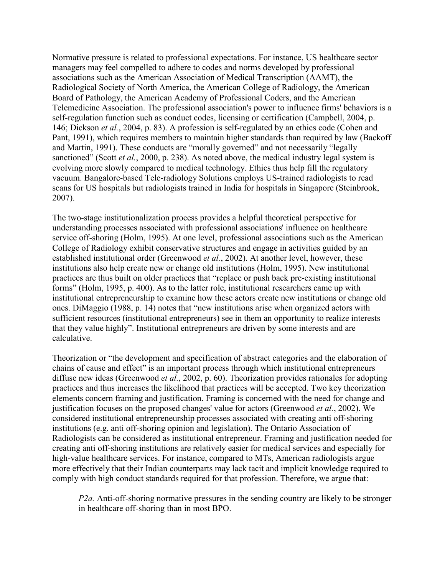Normative pressure is related to professional expectations. For instance, US healthcare sector managers may feel compelled to adhere to codes and norms developed by professional associations such as the American Association of Medical Transcription (AAMT), the Radiological Society of North America, the American College of Radiology, the American Board of Pathology, the American Academy of Professional Coders, and the American Telemedicine Association. The professional association's power to influence firms' behaviors is a self-regulation function such as conduct codes, licensing or certification (Campbell, 2004, p. 146; Dickson *et al.*, 2004, p. 83). A profession is self‐regulated by an ethics code (Cohen and Pant, 1991), which requires members to maintain higher standards than required by law (Backoff and Martin, 1991). These conducts are "morally governed" and not necessarily "legally sanctioned" (Scott *et al.*, 2000, p. 238). As noted above, the medical industry legal system is evolving more slowly compared to medical technology. Ethics thus help fill the regulatory vacuum. Bangalore‐based Tele‐radiology Solutions employs US‐trained radiologists to read scans for US hospitals but radiologists trained in India for hospitals in Singapore (Steinbrook, 2007).

The two-stage institutionalization process provides a helpful theoretical perspective for understanding processes associated with professional associations' influence on healthcare service off-shoring (Holm, 1995). At one level, professional associations such as the American College of Radiology exhibit conservative structures and engage in activities guided by an established institutional order (Greenwood *et al.*, 2002). At another level, however, these institutions also help create new or change old institutions (Holm, 1995). New institutional practices are thus built on older practices that "replace or push back pre‐existing institutional forms" (Holm, 1995, p. 400). As to the latter role, institutional researchers came up with institutional entrepreneurship to examine how these actors create new institutions or change old ones. DiMaggio (1988, p. 14) notes that "new institutions arise when organized actors with sufficient resources (institutional entrepreneurs) see in them an opportunity to realize interests that they value highly". Institutional entrepreneurs are driven by some interests and are calculative.

Theorization or "the development and specification of abstract categories and the elaboration of chains of cause and effect" is an important process through which institutional entrepreneurs diffuse new ideas (Greenwood *et al.*, 2002, p. 60). Theorization provides rationales for adopting practices and thus increases the likelihood that practices will be accepted. Two key theorization elements concern framing and justification. Framing is concerned with the need for change and justification focuses on the proposed changes' value for actors (Greenwood *et al.*, 2002). We considered institutional entrepreneurship processes associated with creating anti off‐shoring institutions (e.g. anti off‐shoring opinion and legislation). The Ontario Association of Radiologists can be considered as institutional entrepreneur. Framing and justification needed for creating anti off‐shoring institutions are relatively easier for medical services and especially for high-value healthcare services. For instance, compared to MTs, American radiologists argue more effectively that their Indian counterparts may lack tacit and implicit knowledge required to comply with high conduct standards required for that profession. Therefore, we argue that:

*P2a.* Anti-off-shoring normative pressures in the sending country are likely to be stronger in healthcare off‐shoring than in most BPO.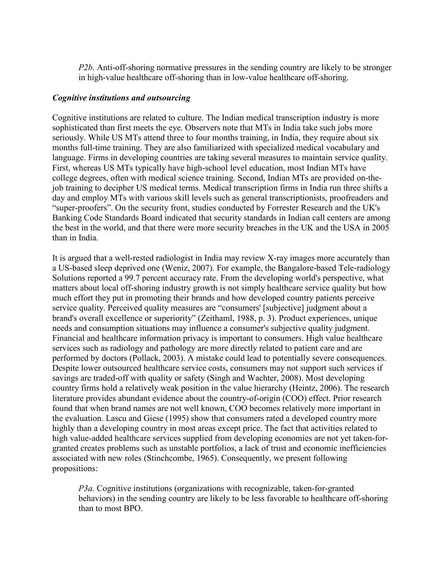*P2b.* Anti-off-shoring normative pressures in the sending country are likely to be stronger in high-value healthcare off-shoring than in low-value healthcare off-shoring.

#### *Cognitive institutions and outsourcing*

Cognitive institutions are related to culture. The Indian medical transcription industry is more sophisticated than first meets the eye. Observers note that MTs in India take such jobs more seriously. While US MTs attend three to four months training, in India, they require about six months full-time training. They are also familiarized with specialized medical vocabulary and language. Firms in developing countries are taking several measures to maintain service quality. First, whereas US MTs typically have high‐school level education, most Indian MTs have college degrees, often with medical science training. Second, Indian MTs are provided on-thejob training to decipher US medical terms. Medical transcription firms in India run three shifts a day and employ MTs with various skill levels such as general transcriptionists, proofreaders and "super‐proofers". On the security front, studies conducted by Forrester Research and the UK's Banking Code Standards Board indicated that security standards in Indian call centers are among the best in the world, and that there were more security breaches in the UK and the USA in 2005 than in India.

It is argued that a well‐rested radiologist in India may review X‐ray images more accurately than a US‐based sleep deprived one (Weniz, 2007). For example, the Bangalore‐based Tele‐radiology Solutions reported a 99.7 percent accuracy rate. From the developing world's perspective, what matters about local off-shoring industry growth is not simply healthcare service quality but how much effort they put in promoting their brands and how developed country patients perceive service quality. Perceived quality measures are "consumers' [subjective] judgment about a brand's overall excellence or superiority" (Zeithaml, 1988, p. 3). Product experiences, unique needs and consumption situations may influence a consumer's subjective quality judgment. Financial and healthcare information privacy is important to consumers. High value healthcare services such as radiology and pathology are more directly related to patient care and are performed by doctors (Pollack, 2003). A mistake could lead to potentially severe consequences. Despite lower outsourced healthcare service costs, consumers may not support such services if savings are traded‐off with quality or safety (Singh and Wachter, 2008). Most developing country firms hold a relatively weak position in the value hierarchy (Heintz, 2006). The research literature provides abundant evidence about the country‐of‐origin (COO) effect. Prior research found that when brand names are not well known, COO becomes relatively more important in the evaluation. Lascu and Giese (1995) show that consumers rated a developed country more highly than a developing country in most areas except price. The fact that activities related to high value-added healthcare services supplied from developing economies are not yet taken-forgranted creates problems such as unstable portfolios, a lack of trust and economic inefficiencies associated with new roles (Stinchcombe, 1965). Consequently, we present following propositions:

*P3a.* Cognitive institutions (organizations with recognizable, taken-for-granted behaviors) in the sending country are likely to be less favorable to healthcare off-shoring than to most BPO.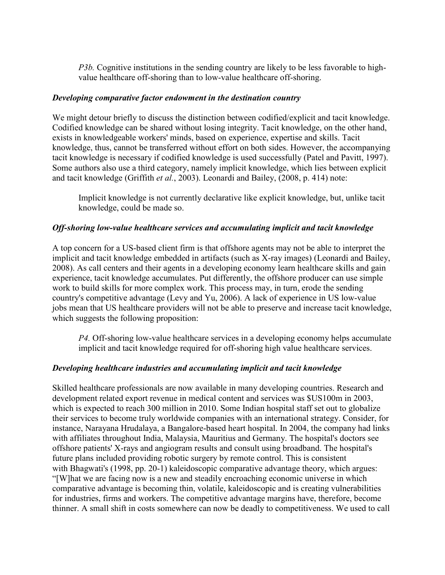*P3b.* Cognitive institutions in the sending country are likely to be less favorable to highvalue healthcare off-shoring than to low-value healthcare off-shoring.

### *Developing comparative factor endowment in the destination country*

We might detour briefly to discuss the distinction between codified/explicit and tacit knowledge. Codified knowledge can be shared without losing integrity. Tacit knowledge, on the other hand, exists in knowledgeable workers' minds, based on experience, expertise and skills. Tacit knowledge, thus, cannot be transferred without effort on both sides. However, the accompanying tacit knowledge is necessary if codified knowledge is used successfully (Patel and Pavitt, 1997). Some authors also use a third category, namely implicit knowledge, which lies between explicit and tacit knowledge (Griffith *et al.*, 2003). Leonardi and Bailey, (2008, p. 414) note:

Implicit knowledge is not currently declarative like explicit knowledge, but, unlike tacit knowledge, could be made so.

## *Off‐shoring low‐value healthcare services and accumulating implicit and tacit knowledge*

A top concern for a US‐based client firm is that offshore agents may not be able to interpret the implicit and tacit knowledge embedded in artifacts (such as X‐ray images) (Leonardi and Bailey, 2008). As call centers and their agents in a developing economy learn healthcare skills and gain experience, tacit knowledge accumulates. Put differently, the offshore producer can use simple work to build skills for more complex work. This process may, in turn, erode the sending country's competitive advantage (Levy and Yu, 2006). A lack of experience in US low‐value jobs mean that US healthcare providers will not be able to preserve and increase tacit knowledge, which suggests the following proposition:

*P4.* Off-shoring low-value healthcare services in a developing economy helps accumulate implicit and tacit knowledge required for off-shoring high value healthcare services.

## *Developing healthcare industries and accumulating implicit and tacit knowledge*

Skilled healthcare professionals are now available in many developing countries. Research and development related export revenue in medical content and services was \$US100m in 2003, which is expected to reach 300 million in 2010. Some Indian hospital staff set out to globalize their services to become truly worldwide companies with an international strategy. Consider, for instance, Narayana Hrudalaya, a Bangalore‐based heart hospital. In 2004, the company had links with affiliates throughout India, Malaysia, Mauritius and Germany. The hospital's doctors see offshore patients' X‐rays and angiogram results and consult using broadband. The hospital's future plans included providing robotic surgery by remote control. This is consistent with Bhagwati's (1998, pp. 20-1) kaleidoscopic comparative advantage theory, which argues: "[W]hat we are facing now is a new and steadily encroaching economic universe in which comparative advantage is becoming thin, volatile, kaleidoscopic and is creating vulnerabilities for industries, firms and workers. The competitive advantage margins have, therefore, become thinner. A small shift in costs somewhere can now be deadly to competitiveness. We used to call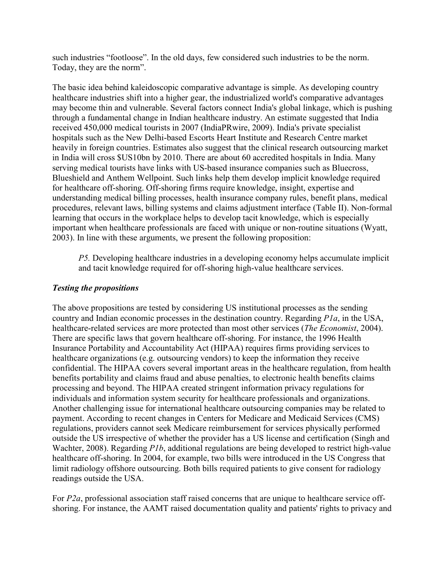such industries "footloose". In the old days, few considered such industries to be the norm. Today, they are the norm".

The basic idea behind kaleidoscopic comparative advantage is simple. As developing country healthcare industries shift into a higher gear, the industrialized world's comparative advantages may become thin and vulnerable. Several factors connect India's global linkage, which is pushing through a fundamental change in Indian healthcare industry. An estimate suggested that India received 450,000 medical tourists in 2007 (IndiaPRwire, 2009). India's private specialist hospitals such as the New Delhi‐based Escorts Heart Institute and Research Centre market heavily in foreign countries. Estimates also suggest that the clinical research outsourcing market in India will cross \$US10bn by 2010. There are about 60 accredited hospitals in India. Many serving medical tourists have links with US-based insurance companies such as Bluecross, Blueshield and Anthem Wellpoint. Such links help them develop implicit knowledge required for healthcare off-shoring. Off-shoring firms require knowledge, insight, expertise and understanding medical billing processes, health insurance company rules, benefit plans, medical procedures, relevant laws, billing systems and claims adjustment interface (Table II). Non‐formal learning that occurs in the workplace helps to develop tacit knowledge, which is especially important when healthcare professionals are faced with unique or non-routine situations (Wyatt, 2003). In line with these arguments, we present the following proposition:

*P5.* Developing healthcare industries in a developing economy helps accumulate implicit and tacit knowledge required for off‐shoring high‐value healthcare services.

## *Testing the propositions*

The above propositions are tested by considering US institutional processes as the sending country and Indian economic processes in the destination country. Regarding *P1a*, in the USA, healthcare‐related services are more protected than most other services (*The Economist*, 2004). There are specific laws that govern healthcare off-shoring. For instance, the 1996 Health Insurance Portability and Accountability Act (HIPAA) requires firms providing services to healthcare organizations (e.g. outsourcing vendors) to keep the information they receive confidential. The HIPAA covers several important areas in the healthcare regulation, from health benefits portability and claims fraud and abuse penalties, to electronic health benefits claims processing and beyond. The HIPAA created stringent information privacy regulations for individuals and information system security for healthcare professionals and organizations. Another challenging issue for international healthcare outsourcing companies may be related to payment. According to recent changes in Centers for Medicare and Medicaid Services (CMS) regulations, providers cannot seek Medicare reimbursement for services physically performed outside the US irrespective of whether the provider has a US license and certification (Singh and Wachter, 2008). Regarding *P1b*, additional regulations are being developed to restrict high-value healthcare off-shoring. In 2004, for example, two bills were introduced in the US Congress that limit radiology offshore outsourcing. Both bills required patients to give consent for radiology readings outside the USA.

For *P2a*, professional association staff raised concerns that are unique to healthcare service offshoring. For instance, the AAMT raised documentation quality and patients' rights to privacy and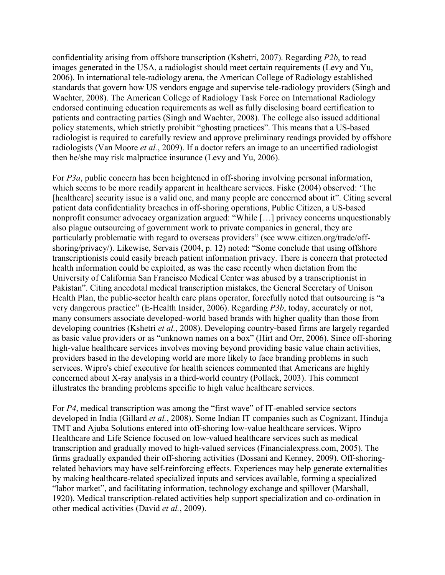confidentiality arising from offshore transcription (Kshetri, 2007). Regarding *P2b*, to read images generated in the USA, a radiologist should meet certain requirements (Levy and Yu, 2006). In international tele‐radiology arena, the American College of Radiology established standards that govern how US vendors engage and supervise tele‐radiology providers (Singh and Wachter, 2008). The American College of Radiology Task Force on International Radiology endorsed continuing education requirements as well as fully disclosing board certification to patients and contracting parties (Singh and Wachter, 2008). The college also issued additional policy statements, which strictly prohibit "ghosting practices". This means that a US‐based radiologist is required to carefully review and approve preliminary readings provided by offshore radiologists (Van Moore *et al.*, 2009). If a doctor refers an image to an uncertified radiologist then he/she may risk malpractice insurance (Levy and Yu, 2006).

For *P3a*, public concern has been heightened in off-shoring involving personal information, which seems to be more readily apparent in healthcare services. Fiske (2004) observed: 'The [healthcare] security issue is a valid one, and many people are concerned about it". Citing several patient data confidentiality breaches in off‐shoring operations, Public Citizen, a US‐based nonprofit consumer advocacy organization argued: "While […] privacy concerns unquestionably also plague outsourcing of government work to private companies in general, they are particularly problematic with regard to overseas providers" (see www.citizen.org/trade/offshoring/privacy/). Likewise, Servais (2004, p. 12) noted: "Some conclude that using offshore transcriptionists could easily breach patient information privacy. There is concern that protected health information could be exploited, as was the case recently when dictation from the University of California San Francisco Medical Center was abused by a transcriptionist in Pakistan". Citing anecdotal medical transcription mistakes, the General Secretary of Unison Health Plan, the public-sector health care plans operator, forcefully noted that outsourcing is "a very dangerous practice" (E‐Health Insider, 2006). Regarding *P3b*, today, accurately or not, many consumers associate developed‐world based brands with higher quality than those from developing countries (Kshetri *et al.*, 2008). Developing country-based firms are largely regarded as basic value providers or as "unknown names on a box" (Hirt and Orr, 2006). Since off‐shoring high-value healthcare services involves moving beyond providing basic value chain activities, providers based in the developing world are more likely to face branding problems in such services. Wipro's chief executive for health sciences commented that Americans are highly concerned about X‐ray analysis in a third‐world country (Pollack, 2003). This comment illustrates the branding problems specific to high value healthcare services.

For *P4*, medical transcription was among the "first wave" of IT-enabled service sectors developed in India (Gillard *et al.*, 2008). Some Indian IT companies such as Cognizant, Hinduja TMT and Ajuba Solutions entered into off‐shoring low‐value healthcare services. Wipro Healthcare and Life Science focused on low‐valued healthcare services such as medical transcription and gradually moved to high‐valued services (Financialexpress.com, 2005). The firms gradually expanded their off-shoring activities (Dossani and Kenney, 2009). Off-shoringrelated behaviors may have self‐reinforcing effects. Experiences may help generate externalities by making healthcare‐related specialized inputs and services available, forming a specialized "labor market", and facilitating information, technology exchange and spillover (Marshall, 1920). Medical transcription-related activities help support specialization and co-ordination in other medical activities (David *et al.*, 2009).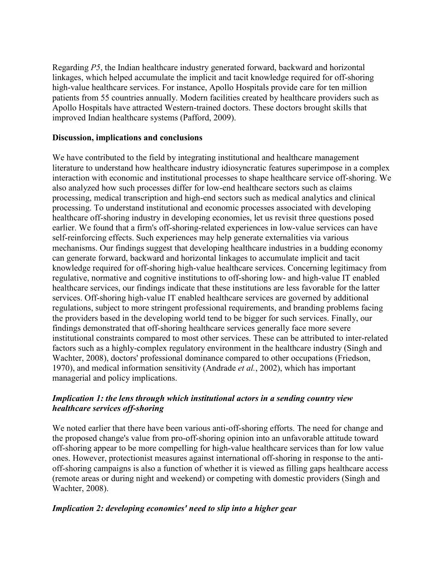Regarding *P5*, the Indian healthcare industry generated forward, backward and horizontal linkages, which helped accumulate the implicit and tacit knowledge required for off‐shoring high-value healthcare services. For instance, Apollo Hospitals provide care for ten million patients from 55 countries annually. Modern facilities created by healthcare providers such as Apollo Hospitals have attracted Western‐trained doctors. These doctors brought skills that improved Indian healthcare systems (Pafford, 2009).

#### **Discussion, implications and conclusions**

We have contributed to the field by integrating institutional and healthcare management literature to understand how healthcare industry idiosyncratic features superimpose in a complex interaction with economic and institutional processes to shape healthcare service off‐shoring. We also analyzed how such processes differ for low‐end healthcare sectors such as claims processing, medical transcription and high‐end sectors such as medical analytics and clinical processing. To understand institutional and economic processes associated with developing healthcare off-shoring industry in developing economies, let us revisit three questions posed earlier. We found that a firm's off-shoring-related experiences in low-value services can have self-reinforcing effects. Such experiences may help generate externalities via various mechanisms. Our findings suggest that developing healthcare industries in a budding economy can generate forward, backward and horizontal linkages to accumulate implicit and tacit knowledge required for off-shoring high-value healthcare services. Concerning legitimacy from regulative, normative and cognitive institutions to off-shoring low- and high-value IT enabled healthcare services, our findings indicate that these institutions are less favorable for the latter services. Off-shoring high-value IT enabled healthcare services are governed by additional regulations, subject to more stringent professional requirements, and branding problems facing the providers based in the developing world tend to be bigger for such services. Finally, our findings demonstrated that off‐shoring healthcare services generally face more severe institutional constraints compared to most other services. These can be attributed to inter-related factors such as a highly-complex regulatory environment in the healthcare industry (Singh and Wachter, 2008), doctors' professional dominance compared to other occupations (Friedson, 1970), and medical information sensitivity (Andrade *et al.*, 2002), which has important managerial and policy implications.

## *Implication 1: the lens through which institutional actors in a sending country view healthcare services off‐shoring*

We noted earlier that there have been various anti-off-shoring efforts. The need for change and the proposed change's value from pro‐off‐shoring opinion into an unfavorable attitude toward off‐shoring appear to be more compelling for high‐value healthcare services than for low value ones. However, protectionist measures against international off‐shoring in response to the anti‐ off‐shoring campaigns is also a function of whether it is viewed as filling gaps healthcare access (remote areas or during night and weekend) or competing with domestic providers (Singh and Wachter, 2008).

## *Implication 2: developing economies' need to slip into a higher gear*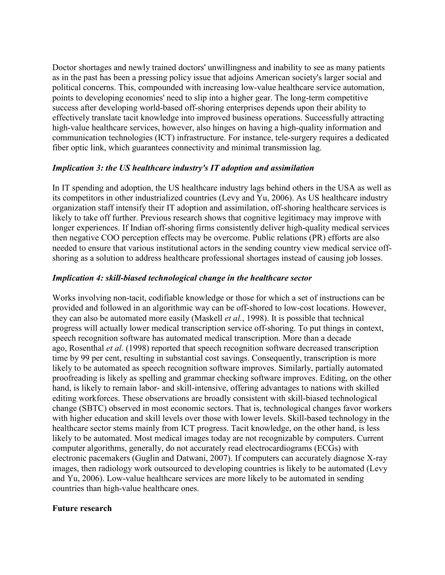Doctor shortages and newly trained doctors' unwillingness and inability to see as many patients as in the past has been a pressing policy issue that adjoins American society's larger social and political concerns. This, compounded with increasing low‐value healthcare service automation, points to developing economies' need to slip into a higher gear. The long‐term competitive success after developing world‐based off‐shoring enterprises depends upon their ability to effectively translate tacit knowledge into improved business operations. Successfully attracting high-value healthcare services, however, also hinges on having a high-quality information and communication technologies (ICT) infrastructure. For instance, tele‐surgery requires a dedicated fiber optic link, which guarantees connectivity and minimal transmission lag.

#### *Implication 3: the US healthcare industry's IT adoption and assimilation*

In IT spending and adoption, the US healthcare industry lags behind others in the USA as well as its competitors in other industrialized countries (Levy and Yu, 2006). As US healthcare industry organization staff intensify their IT adoption and assimilation, off‐shoring healthcare services is likely to take off further. Previous research shows that cognitive legitimacy may improve with longer experiences. If Indian off-shoring firms consistently deliver high-quality medical services then negative COO perception effects may be overcome. Public relations (PR) efforts are also needed to ensure that various institutional actors in the sending country view medical service offshoring as a solution to address healthcare professional shortages instead of causing job losses.

### *Implication 4: skill‐biased technological change in the healthcare sector*

Works involving non‐tacit, codifiable knowledge or those for which a set of instructions can be provided and followed in an algorithmic way can be off‐shored to low‐cost locations. However, they can also be automated more easily (Maskell *et al.*, 1998). It is possible that technical progress will actually lower medical transcription service off‐shoring. To put things in context, speech recognition software has automated medical transcription. More than a decade ago, Rosenthal *et al.* (1998) reported that speech recognition software decreased transcription time by 99 per cent, resulting in substantial cost savings. Consequently, transcription is more likely to be automated as speech recognition software improves. Similarly, partially automated proofreading is likely as spelling and grammar checking software improves. Editing, on the other hand, is likely to remain labor- and skill-intensive, offering advantages to nations with skilled editing workforces. These observations are broadly consistent with skill-biased technological change (SBTC) observed in most economic sectors. That is, technological changes favor workers with higher education and skill levels over those with lower levels. Skill-based technology in the healthcare sector stems mainly from ICT progress. Tacit knowledge, on the other hand, is less likely to be automated. Most medical images today are not recognizable by computers. Current computer algorithms, generally, do not accurately read electrocardiograms (ECGs) with electronic pacemakers (Guglin and Datwani, 2007). If computers can accurately diagnose X‐ray images, then radiology work outsourced to developing countries is likely to be automated (Levy and Yu, 2006). Low‐value healthcare services are more likely to be automated in sending countries than high‐value healthcare ones.

#### **Future research**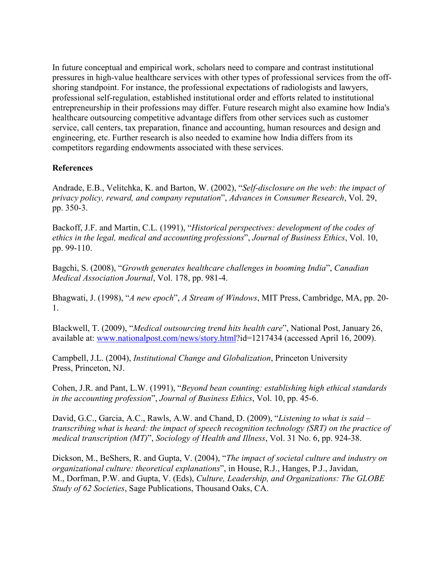In future conceptual and empirical work, scholars need to compare and contrast institutional pressures in high-value healthcare services with other types of professional services from the offshoring standpoint. For instance, the professional expectations of radiologists and lawyers, professional self‐regulation, established institutional order and efforts related to institutional entrepreneurship in their professions may differ. Future research might also examine how India's healthcare outsourcing competitive advantage differs from other services such as customer service, call centers, tax preparation, finance and accounting, human resources and design and engineering, etc. Further research is also needed to examine how India differs from its competitors regarding endowments associated with these services.

### **References**

Andrade, E.B., Velitchka, K. and Barton, W. (2002), "*Self‐disclosure on the web: the impact of privacy policy, reward, and company reputation*", *Advances in Consumer Research*, Vol. 29, pp. 350‐3.

Backoff, J.F. and Martin, C.L. (1991), "*Historical perspectives: development of the codes of ethics in the legal, medical and accounting professions*", *Journal of Business Ethics*, Vol. 10, pp. 99‐110.

Bagchi, S. (2008), "*Growth generates healthcare challenges in booming India*", *Canadian Medical Association Journal*, Vol. 178, pp. 981‐4.

Bhagwati, J. (1998), "*A new epoch*", *A Stream of Windows*, MIT Press, Cambridge, MA, pp. 20‐ 1.

Blackwell, T. (2009), "*Medical outsourcing trend hits health care*", National Post, January 26, available at: [www.nationalpost.com/news/story.html](http://www.nationalpost.com/news/story.html)?id=1217434 (accessed April 16, 2009).

Campbell, J.L. (2004), *Institutional Change and Globalization*, Princeton University Press, Princeton, NJ.

Cohen, J.R. and Pant, L.W. (1991), "*Beyond bean counting: establishing high ethical standards in the accounting profession*", *Journal of Business Ethics*, Vol. 10, pp. 45‐6.

David, G.C., Garcia, A.C., Rawls, A.W. and Chand, D. (2009), "*Listening to what is said – transcribing what is heard: the impact of speech recognition technology (SRT) on the practice of medical transcription (MT)*", *Sociology of Health and Illness*, Vol. 31 No. 6, pp. 924‐38.

Dickson, M., BeShers, R. and Gupta, V. (2004), "*The impact of societal culture and industry on organizational culture: theoretical explanations*", in House, R.J., Hanges, P.J., Javidan, M., Dorfman, P.W. and Gupta, V. (Eds), *Culture, Leadership, and Organizations: The GLOBE Study of 62 Societies*, Sage Publications, Thousand Oaks, CA.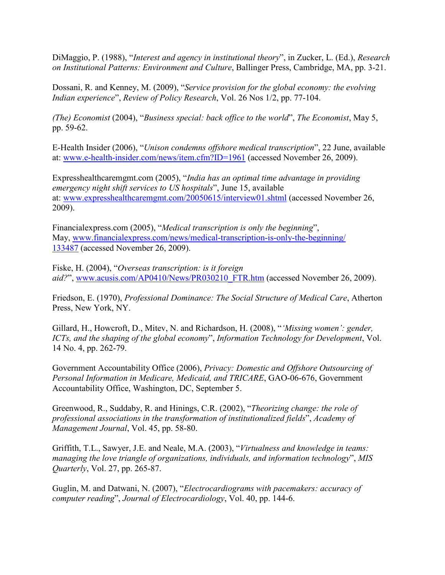DiMaggio, P. (1988), "*Interest and agency in institutional theory*", in Zucker, L. (Ed.), *Research on Institutional Patterns: Environment and Culture*, Ballinger Press, Cambridge, MA, pp. 3‐21.

Dossani, R. and Kenney, M. (2009), "*Service provision for the global economy: the evolving Indian experience*", *Review of Policy Research*, Vol. 26 Nos 1/2, pp. 77‐104.

*(The) Economist* (2004), "*Business special: back office to the world*", *The Economist*, May 5, pp. 59‐62.

E‐Health Insider (2006), "*Unison condemns offshore medical transcription*", 22 June, available at: [www.e‐health‐insider.com/news/item.cfm?ID=1961](http://www.e-health-insider.com/news/item.cfm?ID=1961) (accessed November 26, 2009).

Expresshealthcaremgmt.com (2005), "*India has an optimal time advantage in providing emergency night shift services to US hospitals*", June 15, available at: [www.expresshealthcaremgmt.com/20050615/interview01.shtml](http://www.expresshealthcaremgmt.com/20050615/interview01.shtml) (accessed November 26, 2009).

Financialexpress.com (2005), "*Medical transcription is only the beginning*", May, www.financialexpress.com/news/medical-transcription-is-only-the-beginning/ [133487](http://www.financialexpress.com/news/medical-transcription-is-only-the-beginning/133487) (accessed November 26, 2009).

Fiske, H. (2004), "*Overseas transcription: is it foreign aid?*", [www.acusis.com/AP0410/News/PR030210\\_FTR.htm](http://www.acusis.com/AP0410/News/PR030210_FTR.htm) (accessed November 26, 2009).

Friedson, E. (1970), *Professional Dominance: The Social Structure of Medical Care*, Atherton Press, New York, NY.

Gillard, H., Howcroft, D., Mitev, N. and Richardson, H. (2008), "*'Missing women': gender, ICTs, and the shaping of the global economy*", *Information Technology for Development*, Vol. 14 No. 4, pp. 262‐79.

Government Accountability Office (2006), *Privacy: Domestic and Offshore Outsourcing of Personal Information in Medicare, Medicaid, and TRICARE*, GAO‐06‐676, Government Accountability Office, Washington, DC, September 5.

Greenwood, R., Suddaby, R. and Hinings, C.R. (2002), "*Theorizing change: the role of professional associations in the transformation of institutionalized fields*", *Academy of Management Journal*, Vol. 45, pp. 58‐80.

Griffith, T.L., Sawyer, J.E. and Neale, M.A. (2003), "*Virtualness and knowledge in teams: managing the love triangle of organizations, individuals, and information technology*", *MIS Quarterly*, Vol. 27, pp. 265‐87.

Guglin, M. and Datwani, N. (2007), "*Electrocardiograms with pacemakers: accuracy of computer reading*", *Journal of Electrocardiology*, Vol. 40, pp. 144‐6.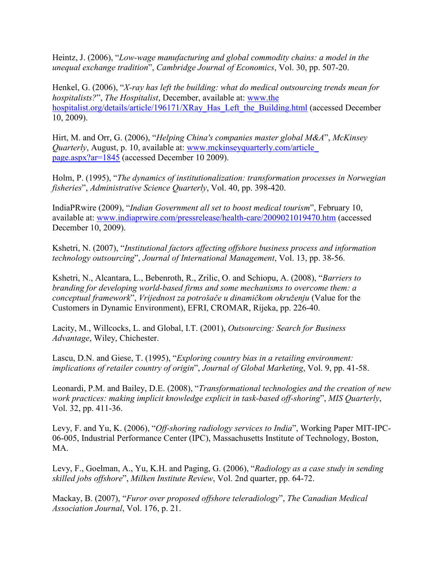Heintz, J. (2006), "*Low‐wage manufacturing and global commodity chains: a model in the unequal exchange tradition*", *Cambridge Journal of Economics*, Vol. 30, pp. 507‐20.

Henkel, G. (2006), "*X‐ray has left the building: what do medical outsourcing trends mean for hospitalists?*", *The Hospitalist*, December, available at: [www.the](http://www.thehospitalist.org/details/article/196171/XRay_Has_Left_the_Building.html)  hospitalist.org/details/article/196171/XRay Has Left the Building.html (accessed December 10, 2009).

Hirt, M. and Orr, G. (2006), "*Helping China's companies master global M&A*", *McKinsey Quarterly*, August, p. 10, available at: ww[w.mckinseyquarterly.com/article\\_](http://www.mckinseyquarterly.com/article_page.aspx?ar=1845)  [page.aspx?ar=1845](http://www.mckinseyquarterly.com/article_page.aspx?ar=1845) (accessed December 10 2009).

Holm, P. (1995), "*The dynamics of institutionalization: transformation processes in Norwegian fisheries*", *Administrative Science Quarterly*, Vol. 40, pp. 398‐420.

IndiaPRwire (2009), "*Indian Government all set to boost medical tourism*", February 10, available at: www.indiaprwire.com/pressrelea[se/health‐care/2009021019470.htm](http://www.indiaprwire.com/pressrelease/health-care/2009021019470.htm) (accessed December 10, 2009).

Kshetri, N. (2007), "*Institutional factors affecting offshore business process and information technology outsourcing*", *Journal of International Management*, Vol. 13, pp. 38‐56.

Kshetri, N., Alcantara, L., Bebenroth, R., Zrilic, O. and Schiopu, A. (2008), "*Barriers to branding for developing world‐based firms and some mechanisms to overcome them: a conceptual framework*", *Vrijednost za potrošače u dinamičkom okruženju* (Value for the Customers in Dynamic Environment), EFRI, CROMAR, Rijeka, pp. 226‐40.

Lacity, M., Willcocks, L. and Global, I.T. (2001), *Outsourcing: Search for Business Advantage*, Wiley, Chichester.

Lascu, D.N. and Giese, T. (1995), "*Exploring country bias in a retailing environment: implications of retailer country of origin*", *Journal of Global Marketing*, Vol. 9, pp. 41‐58.

Leonardi, P.M. and Bailey, D.E. (2008), "*Transformational technologies and the creation of new work practices: making implicit knowledge explicit in task‐based off‐shoring*", *MIS Quarterly*, Vol. 32, pp. 411‐36.

Levy, F. and Yu, K. (2006), "*Off‐shoring radiology services to India*", Working Paper MIT‐IPC‐ 06‐005, Industrial Performance Center (IPC), Massachusetts Institute of Technology, Boston, MA.

Levy, F., Goelman, A., Yu, K.H. and Paging, G. (2006), "*Radiology as a case study in sending skilled jobs offshore*", *Milken Institute Review*, Vol. 2nd quarter, pp. 64‐72.

Mackay, B. (2007), "*Furor over proposed offshore teleradiology*", *The Canadian Medical Association Journal*, Vol. 176, p. 21.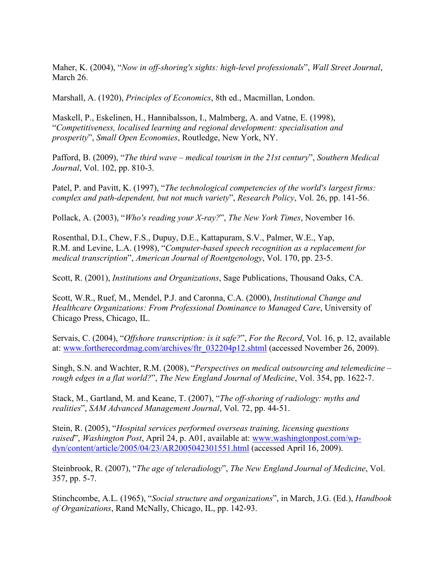Maher, K. (2004), "*Now in off‐shoring's sights: high‐level professionals*", *Wall Street Journal*, March 26.

Marshall, A. (1920), *Principles of Economics*, 8th ed., Macmillan, London.

Maskell, P., Eskelinen, H., Hannibalsson, I., Malmberg, A. and Vatne, E. (1998), "*Competitiveness, localised learning and regional development: specialisation and prosperity*", *Small Open Economies*, Routledge, New York, NY.

Pafford, B. (2009), "*The third wave – medical tourism in the 21st century*", *Southern Medical Journal*, Vol. 102, pp. 810‐3.

Patel, P. and Pavitt, K. (1997), "*The technological competencies of the world's largest firms: complex and path‐dependent, but not much variety*", *Research Policy*, Vol. 26, pp. 141‐56.

Pollack, A. (2003), "*Who's reading your X‐ray?*", *The New York Times*, November 16.

Rosenthal, D.I., Chew, F.S., Dupuy, D.E., Kattapuram, S.V., Palmer, W.E., Yap, R.M. and Levine, L.A. (1998), "*Computer‐based speech recognition as a replacement for medical transcription*", *American Journal of Roentgenology*, Vol. 170, pp. 23‐5.

Scott, R. (2001), *Institutions and Organizations*, Sage Publications, Thousand Oaks, CA.

Scott, W.R., Ruef, M., Mendel, P.J. and Caronna, C.A. (2000), *Institutional Change and Healthcare Organizations: From Professional Dominance to Managed Care*, University of Chicago Press, Chicago, IL.

Servais, C. (2004), "*Offshore transcription: is it safe?*", *For the Record*, Vol. 16, p. 12, available at: [www.fortherecordmag.com/archives/ftr\\_032204p12.shtml](http://www.fortherecordmag.com/archives/ftr_032204p12.shtml) (accessed November 26, 2009).

Singh, S.N. and Wachter, R.M. (2008), "*Perspectives on medical outsourcing and telemedicine – rough edges in a flat world?*", *The New England Journal of Medicine*, Vol. 354, pp. 1622‐7.

Stack, M., Gartland, M. and Keane, T. (2007), "*The off‐shoring of radiology: myths and realities*", *SAM Advanced Management Journal*, Vol. 72, pp. 44‐51.

Stein, R. (2005), "*Hospital services performed overseas training, licensing questions raised*", *Washington Post*, April 24, p. A01, available at: www.wa[shingtonpost.com/wp‐](http://www.washingtonpost.com/wp-dyn/content/article/2005/04/23/AR2005042301551.html) [dyn/content/article/2005/04/23/AR2005042301551.html](http://www.washingtonpost.com/wp-dyn/content/article/2005/04/23/AR2005042301551.html) (accessed April 16, 2009).

Steinbrook, R. (2007), "*The age of teleradiology*", *The New England Journal of Medicine*, Vol. 357, pp. 5‐7.

Stinchcombe, A.L. (1965), "*Social structure and organizations*", in March, J.G. (Ed.), *Handbook of Organizations*, Rand McNally, Chicago, IL, pp. 142‐93.